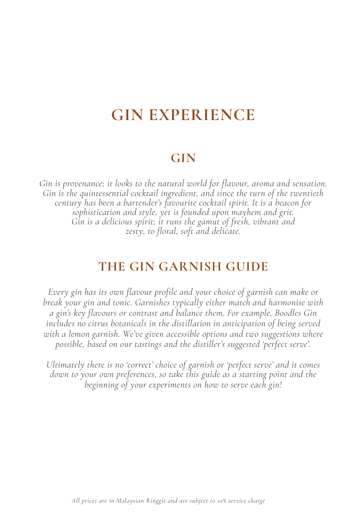# **GIN EXPERIENCE**

# **GIN**

*Gin is provenance; it looks to the natural world for flavour, aroma and sensation.* Gin is the quintessential cocktail ingredient, and since the turn of the twentieth<br>century has been a bartender's favourite cocktail spirit. It is a beacon for<br>sophistication and style, yet is founded upon mayhem and grit. *Gin is a delicious spirit; it runs the gamut of fresh, vibrant and zesty, to floral, soft and delicate.* 

# **THE GIN GARNISH GUIDE**

*Every gin has its own flavour profile and your choice of garnish can make or break your gin and tonic. Garnishes typically either match and harmonise with a gin's key flavours or contrast and balance them. For example, Boodles Gin includes no citrus botanicals in the distillation in anticipation of being served with a lemon garnish. We've given accessible options and two suggestions where possible, based on our tastings and the distiller's suggested 'perfect serve'.*

*Ultimately there is no 'correct' choice of garnish or 'perfect serve' and it comes down to your own preferences, so take this guide as a starting point and the beginning of your experiments on how to serve each gin!*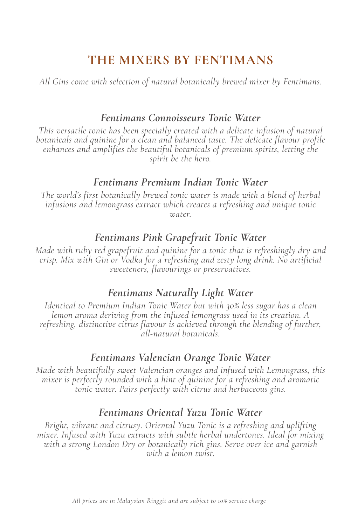# **THE MIXERS BY FENTIMANS**

*All Gins come with selection of natural botanically brewed mixer by Fentimans.*

#### *Fentimans Connoisseurs Tonic Water*

*This versatile tonic has been specially created with a delicate infusion of natural botanicals and quinine for a clean and balanced taste. The delicate flavour profile enhances and amplifies the beautiful botanicals of premium spirits, letting the spirit be the hero.*

#### *Fentimans Premium Indian Tonic Water*

*The world's first botanically brewed tonic water is made with a blend of herbal infusions and lemongrass extract which creates a refreshing and unique tonic water.*

#### *Fentimans Pink Grapefruit Tonic Water*

*Made with ruby red grapefruit and quinine for a tonic that is refreshingly dry and crisp. Mix with Gin or Vodka for a refreshing and zesty long drink. No artificial sweeteners, flavourings or preservatives.*

#### *Fentimans Naturally Light Water*

*Identical to Premium Indian Tonic Water but with 30% less sugar has a clean lemon aroma deriving from the infused lemongrass used in its creation. A refreshing, distinctive citrus flavour is achieved through the blending of further, all-natural botanicals.*

#### *Fentimans Valencian Orange Tonic Water*

*Made with beautifully sweet Valencian oranges and infused with Lemongrass, this mixer is perfectly rounded with a hint of quinine for a refreshing and aromatic tonic water. Pairs perfectly with citrus and herbaceous gins.*

#### *Fentimans Oriental Yuzu Tonic Water*

*Bright, vibrant and citrusy. Oriental Yuzu Tonic is a refreshing and uplifting mixer. Infused with Yuzu extracts with subtle herbal undertones. Ideal for mixing with a strong London Dry or botanically rich gins. Serve over ice and garnish with a lemon twist.*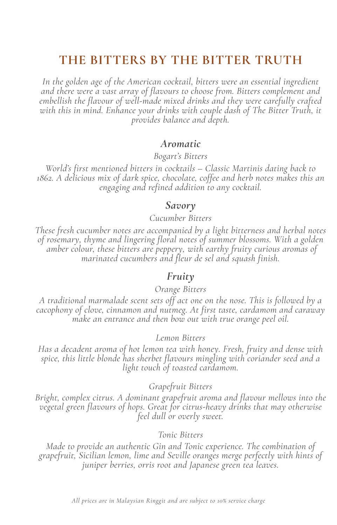# **THE BITTERS BY THE BITTER TRUTH**

*In the golden age of the American cocktail, bitters were an essential ingredient and there were a vast array of flavours to choose from. Bitters complement and embellish the flavour of well-made mixed drinks and they were carefully crafted*  with this in mind. Enhance your drinks with couple dash of The Bitter Truth, it *provides balance and depth.*

#### *Aromatic*

*Bogart's Bitters*

*World's first mentioned bitters in cocktails – Classic Martinis dating back to 1862. A delicious mix of dark spice, chocolate, coffee and herb notes makes this an engaging and refined addition to any cocktail.*

#### *Savory*

#### *Cucumber Bitters*

*These fresh cucumber notes are accompanied by a light bitterness and herbal notes of rosemary, thyme and lingering floral notes of summer blossoms. With a golden amber colour, these bitters are peppery, with earthy fruity curious aromas of marinated cucumbers and fleur de sel and squash finish.*

#### *Fruity*

#### *Orange Bitters*

A traditional marmalade scent sets off act one on the nose. This is followed by a<br>cacophony of clove, cinnamon and nutmeg. At first taste, cardamom and caraway<br>make an entrance and then bow out with true orange peel oil.

#### *Lemon Bitters*

*Has a decadent aroma of hot lemon tea with honey. Fresh, fruity and dense with spice, this little blonde has sherbet flavours mingling with coriander seed and a light touch of toasted cardamom.*

#### *Grapefruit Bitters*

*Bright, complex citrus. A dominant grapefruit aroma and flavour mellows into th<sup>e</sup> vegetal green flavours of hops. Great for citrus-heavy drinks that may otherwise feel dull or overly sweet.*

#### *Tonic Bitters*

Made to provide an authentic Gin and Tonic experience. The combination of<br>grapefruit, Sicilian lemon, lime and Seville oranges merge perfectly with hints of<br>juniper berries, orris root and Japanese green tea leaves.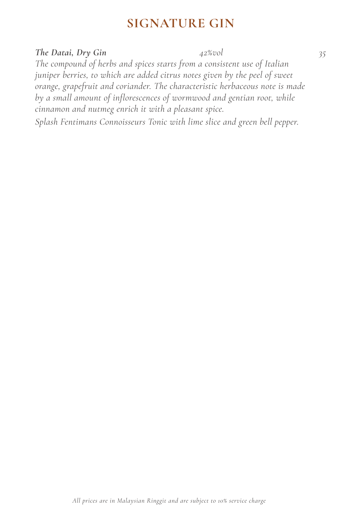# **SIGNATURE GIN**

#### *The Datai, Dry Gin 42%vol 35*

*The compound of herbs and spices starts from a consistent use of Italian juniper berries, to which are added citrus notes given by the peel of sweet orange, grapefruit and coriander. The characteristic herbaceous note is made by a small amount of inflorescences of wormwood and gentian root, while cinnamon and nutmeg enrich it with a pleasant spice.* 

*Splash Fentimans Connoisseurs Tonic with lime slice and green bell pepper.*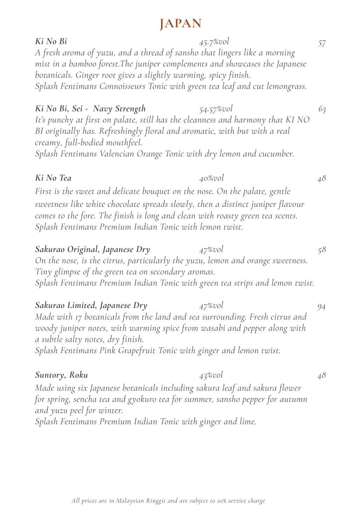# **JAPAN**

*Ki No Bi 45.7%vol 57 A fresh aroma of yuzu, and a thread of sansho that lingers like a morning mist in a bamboo forest.The juniper complements and showcases the Japanese botanicals. Ginger root gives a slightly warming, spicy finish. Splash Fentimans Connoisseurs Tonic with green tea leaf and cut lemongrass. Ki No Bi, Sei - Navy Strength 54.57%vol 63 It's punchy at first on palate, still has the cleanness and harmony that KI NO BI originally has. Refreshingly floral and aromatic, with but with a real creamy, full-bodied mouthfeel. Splash Fentimans Valencian Orange Tonic with dry lemon and cucumber. Ki No Tea 40%vol 48* First is the sweet and delicate bouquet on the nose. On the palate, gentle *sweetness like white chocolate spreads slowly, then a distinct juniper flavour comes to the fore. The finish is long and clean with roasty green tea scents. Splash Fentimans Premium Indian Tonic with lemon twist. Sakurao Original, Japanese Dry 47%vol 58 On the nose, is the citrus, particularly the yuzu, lemon and orange sweetness. Tiny glimpse of the green tea on secondary aromas. Splash Fentimans Premium Indian Tonic with green tea strips and lemon twist. Sakurao Limited, Japanese Dry 47%vol 94 Made with 17 botanicals from the land and sea surrounding. Fresh citrus and woody juniper notes, with warming spice from wasabi and pepper along with a subtle salty notes, dry finish. Splash Fentimans Pink Grapefruit Tonic with ginger and lemon twist. Suntory, Roku 43%vol 48 Made using six Japanese botanicals including sakura leaf and sakura flower for spring, sencha tea and gyokuro tea for summer, sansho pepper for autumn and yuzu peel for winter. Splash Fentimans Premium Indian Tonic with ginger and lime.*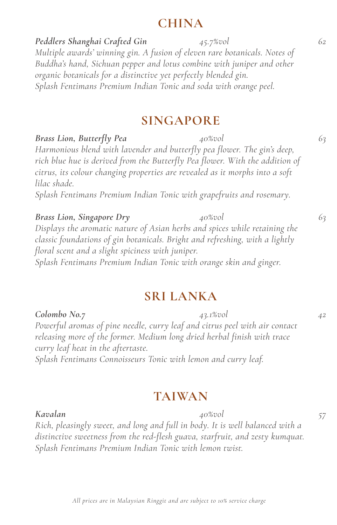### **CHINA**

*Peddlers Shanghai Crafted Gin 45.7%vol 62 Multiple awards' winning gin. A fusion of eleven rare botanicals. Notes of Buddha's hand, Sichuan pepper and lotus combine with juniper and other organic botanicals for a distinctive yet perfectly blended gin. Splash Fentimans Premium Indian Tonic and soda with orange peel.*

## **SINGAPORE**

*Brass Lion, Butterfly Pea 40%vol 63*

*Harmonious blend with lavender and butterfly pea flower. The gin's deep, rich blue hue is derived from the Butterfly Pea flower. With the addition of citrus, its colour changing properties are revealed as it morphs into a soft lilac shade.*

*Splash Fentimans Premium Indian Tonic with grapefruits and rosemary.*

*Brass Lion, Singapore Dry 40%vol 63 Displays the aromatic nature of Asian herbs and spices while retaining the classic foundations of gin botanicals. Bright and refreshing, with a lightly floral scent and a slight spiciness with juniper. Splash Fentimans Premium Indian Tonic with orange skin and ginger.* 

### **SRI LANKA**

*Colombo No.7 43.1%vol 42 Powerful aromas of pine needle, curry leaf and citrus peel with air contact releasing more of the former. Medium long dried herbal finish with trace curry leaf heat in the aftertaste. Splash Fentimans Connoisseurs Tonic with lemon and curry leaf.*

### **TAIWAN**

*Kavalan 40%vol 57 Rich, pleasingly sweet, and long and full in body. It is well balanced with a distinctive sweetness from the red-flesh guava, starfruit, and zesty kumquat. Splash Fentimans Premium Indian Tonic with lemon twist.*

#### *All prices are in Malaysian Ringgit and are subject to 10% service charge*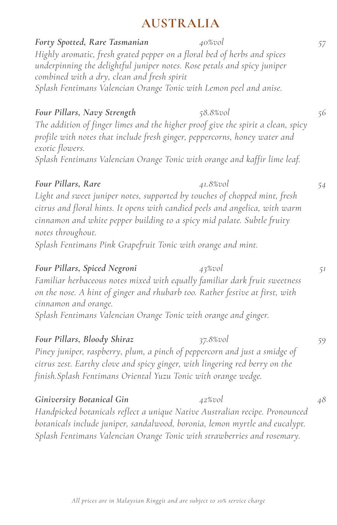# **AUSTRALIA**

*Forty Spotted, Rare Tasmanian 40%vol 57 Highly aromatic, fresh grated pepper on a floral bed of herbs and spices underpinning the delightful juniper notes. Rose petals and spicy juniper combined with a dry, clean and fresh spirit Splash Fentimans Valencian Orange Tonic with Lemon peel and anise. Four Pillars, Navy Strength 58.8%vol 56 The addition of finger limes and the higher proof give the spirit a clean, spicy profile with notes that include fresh ginger, peppercorns, honey water and exotic flowers. Splash Fentimans Valencian Orange Tonic with orange and kaffir lime leaf. Four Pillars, Rare 41.8%vol 54 Light and sweet juniper notes, supported by touches of chopped mint, fresh citrus and floral hints. It opens with candied peels and angelica, with warm cinnamon and white pepper building to a spicy mid palate. Subtle fruity notes throughout. Splash Fentimans Pink Grapefruit Tonic with orange and mint. Four Pillars, Spiced Negroni 43%vol 51 Familiar herbaceous notes mixed with equally familiar dark fruit sweetness on the nose. A hint of ginger and rhubarb too. Rather festive at first, with cinnamon and orange. Splash Fentimans Valencian Orange Tonic with orange and ginger. Four Pillars, Bloody Shiraz 37.8%vol 59 Piney juniper, raspberry, plum, a pinch of peppercorn and just a smidge of citrus zest. Earthy clove and spicy ginger, with lingering red berry on the finish.Splash Fentimans Oriental Yuzu Tonic with orange wedge. Giniversity Botanical Gin 42%vol 48 Handpicked botanicals reflect a unique Native Australian recipe. Pronounced botanicals include juniper, sandalwood, boronia, lemon myrtle and eucalypt. Splash Fentimans Valencian Orange Tonic with strawberries and rosemary.*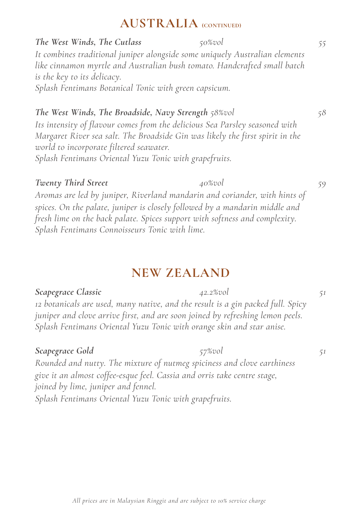# **AUSTRALIA (CONTINUED)**

*The West Winds, The Cutlass 50%vol 55 It combines traditional juniper alongside some uniquely Australian elements like cinnamon myrtle and Australian bush tomato. Handcrafted small batch is the key to its delicacy. Splash Fentimans Botanical Tonic with green capsicum.*

*The West Winds, The Broadside, Navy Strength 58%vol 58 Its intensity of flavour comes from the delicious Sea Parsley seasoned with Margaret River sea salt. The Broadside Gin was likely the first spirit in the world to incorporate filtered seawater. Splash Fentimans Oriental Yuzu Tonic with grapefruits.*

#### *Twenty Third Street 40%vol 59*

*Aromas are led by juniper, Riverland mandarin and coriander, with hints of spices. On the palate, juniper is closely followed by a mandarin middle and fresh lime on the back palate. Spices support with softness and complexity. Splash Fentimans Connoisseurs Tonic with lime.*

# **NEW ZEALAND**

#### **Scapegrace Classic 612 12.2%vol 51**

*12 botanicals are used, many native, and the result is a gin packed full. Spicy juniper and clove arrive first, and are soon joined by refreshing lemon peels. Splash Fentimans Oriental Yuzu Tonic with orange skin and star anise.*

#### *Scapegrace Gold 57%vol 51*

*Rounded and nutty. The mixture of nutmeg spiciness and clove earthiness give it an almost coffee-esque feel. Cassia and orris take centre stage, joined by lime, juniper and fennel.* 

*Splash Fentimans Oriental Yuzu Tonic with grapefruits.*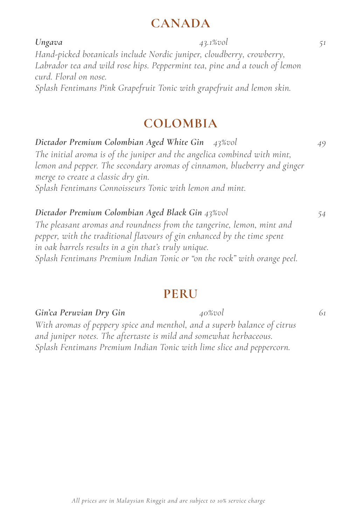## **CANADA**

*Ungava 43.1%vol 51 Hand-picked botanicals include Nordic juniper, cloudberry, crowberry, Labrador tea and wild rose hips. Peppermint tea, pine and a touch of lemon curd. Floral on nose. Splash Fentimans Pink Grapefruit Tonic with grapefruit and lemon skin.* 

# **COLOMBIA**

*Dictador Premium Colombian Aged White Gin 43%vol 49 The initial aroma is of the juniper and the angelica combined with mint, lemon and pepper. The secondary aromas of cinnamon, blueberry and ginger merge to create a classic dry gin. Splash Fentimans Connoisseurs Tonic with lemon and mint.*

#### *Dictador Premium Colombian Aged Black Gin 43%vol 54 The pleasant aromas and roundness from the tangerine, lemon, mint and pepper, with the traditional flavours of gin enhanced by the time spent in oak barrels results in a gin that's truly unique. Splash Fentimans Premium Indian Tonic or "on the rock" with orange peel.*

# **PERU**

*Splash Fentimans Premium Indian Tonic with lime slice and peppercorn.*

*All prices are in Malaysian Ringgit and are subject to 10% service charge*

*Gin'ca Peruvian Dry Gin 40%vol 61*

*With aromas of peppery spice and menthol, and a superb balance of citrus and juniper notes. The aftertaste is mild and somewhat herbaceous.*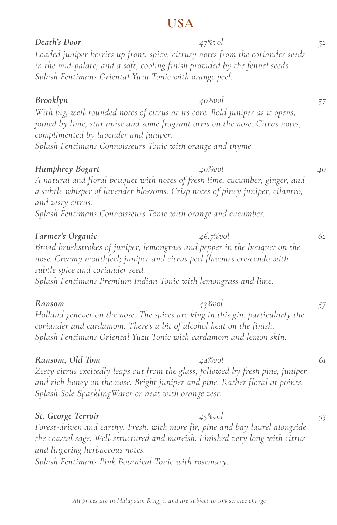# **USA**

| Death's Door                                                                                                                                                                                       | 47%vol                                                                                                                                                                      | 52 |
|----------------------------------------------------------------------------------------------------------------------------------------------------------------------------------------------------|-----------------------------------------------------------------------------------------------------------------------------------------------------------------------------|----|
| in the mid-palate; and a soft, cooling finish provided by the fennel seeds.<br>Splash Fentimans Oriental Yuzu Tonic with orange peel.                                                              | Loaded juniper berries up front; spicy, citrusy notes from the coriander seeds                                                                                              |    |
| Brooklyn<br>With big, well-rounded notes of citrus at its core. Bold juniper as it opens,<br>complimented by lavender and juniper.<br>Splash Fentimans Connoisseurs Tonic with orange and thyme    | 40%vol<br>joined by lime, star anise and some fragrant orris on the nose. Citrus notes,                                                                                     | 57 |
| <b>Humphrey Bogart</b><br>and zesty citrus.<br>Splash Fentimans Connoisseurs Tonic with orange and cucumber.                                                                                       | 40%vol<br>A natural and floral bouquet with notes of fresh lime, cucumber, ginger, and<br>a subtle whisper of lavender blossoms. Crisp notes of piney juniper, cilantro,    | 40 |
| Farmer's Organic<br>nose. Creamy mouthfeel; juniper and citrus peel flavours crescendo with<br>subtle spice and coriander seed.<br>Splash Fentimans Premium Indian Tonic with lemongrass and lime. | 46.7%vol<br>Broad brushstrokes of juniper, lemongrass and pepper in the bouquet on the                                                                                      | 62 |
| Ransom<br>coriander and cardamom. There's a bit of alcohol heat on the finish.<br>Splash Fentimans Oriental Yuzu Tonic with cardamom and lemon skin.                                               | $43\%$ vol<br>Holland genever on the nose. The spices are king in this gin, particularly the                                                                                | 57 |
| Ransom, Old Tom<br>Splash Sole Sparkling Water or neat with orange zest.                                                                                                                           | 44%vol<br>Zesty citrus excitedly leaps out from the glass, followed by fresh pine, juniper<br>and rich honey on the nose. Bright juniper and pine. Rather floral at points. | 61 |
| St. George Terroir<br>and lingering herbaceous notes.<br>Splash Fentimans Pink Botanical Tonic with rosemary.                                                                                      | 45%vol<br>Forest-driven and earthy. Fresh, with more fir, pine and bay laurel alongside<br>the coastal sage. Well-structured and moreish. Finished very long with citrus    | 53 |

*All prices are in Malaysian Ringgit and are subject to 10% service charge*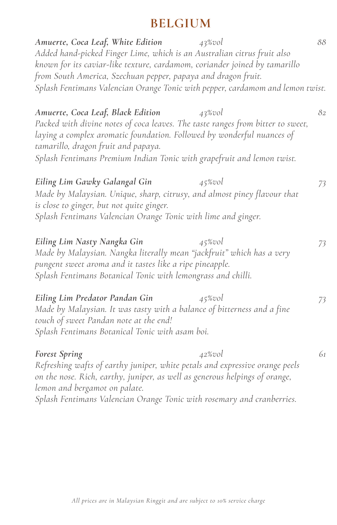# **BELGIUM**

| Amuerte, Coca Leaf, White Edition<br>$43\%$ vol<br>Added hand-picked Finger Lime, which is an Australian citrus fruit also<br>known for its caviar-like texture, cardamom, coriander joined by tamarillo<br>from South America, Szechuan pepper, papaya and dragon fruit.<br>Splash Fentimans Valencian Orange Tonic with pepper, cardamom and lemon twist. | 88 |
|-------------------------------------------------------------------------------------------------------------------------------------------------------------------------------------------------------------------------------------------------------------------------------------------------------------------------------------------------------------|----|
| Amuerte, Coca Leaf, Black Edition<br>43%vol<br>Packed with divine notes of coca leaves. The taste ranges from bitter to sweet,<br>laying a complex aromatic foundation. Followed by wonderful nuances of<br>tamarillo, dragon fruit and papaya.<br>Splash Fentimans Premium Indian Tonic with grapefruit and lemon twist.                                   | 82 |
| Eiling Lim Gawky Galangal Gin<br>$45\%$ vol<br>Made by Malaysian. Unique, sharp, citrusy, and almost piney flavour that<br>is close to ginger, but not quite ginger.<br>Splash Fentimans Valencian Orange Tonic with lime and ginger.                                                                                                                       | 73 |
| Eiling Lim Nasty Nangka Gin<br>$45\%$ vol<br>Made by Malaysian. Nangka literally mean "jackfruit" which has a very<br>pungent sweet aroma and it tastes like a ripe pineapple.<br>Splash Fentimans Botanical Tonic with lemongrass and chilli.                                                                                                              | 73 |
| Eiling Lim Predator Pandan Gin<br>$45\%$ vol<br>Made by Malaysian. It was tasty with a balance of bitterness and a fine<br>touch of sweet Pandan note at the end!<br>Splash Fentimans Botanical Tonic with asam boi.                                                                                                                                        | 73 |
| Forest Spring<br>$42\%$ vol<br>Refreshing wafts of earthy juniper, white petals and expressive orange peels<br>on the nose. Rich, earthy, juniper, as well as generous helpings of orange,<br>lemon and bergamot on palate.<br>Splash Fentimans Valencian Orange Tonic with rosemary and cranberries.                                                       | 61 |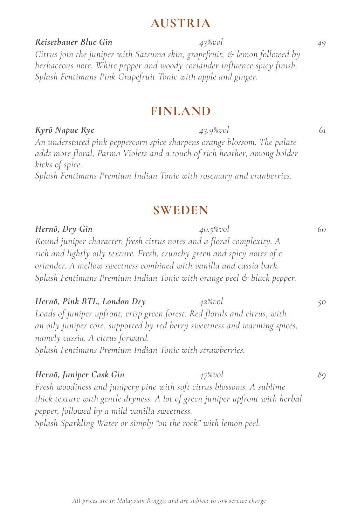## **AUSTRIA**

*Reisetbauer Blue Gin 43%vol 49 Citrus join the juniper with Satsuma skin, grapefruit, & lemon followed by herbaceous note. White pepper and woody coriander influence spicy finish. Splash Fentimans Pink Grapefruit Tonic with apple and ginger.*

## **FINLAND**

*Kyrö Napue Rye 43.9%vol 61 An understated pink peppercorn spice sharpens orange blossom. The palate adds more floral, Parma Violets and a touch of rich heather, among bolder kicks of spice. Splash Fentimans Premium Indian Tonic with rosemary and cranberries.* 

### **SWEDEN**

*Hernö, Dry Gin 40.5%vol 60 Round juniper character, fresh citrus notes and a floral complexity. A rich and lightly oily texture. Fresh, crunchy green and spicy notes of c oriander. A mellow sweetness combined with vanilla and cassia bark. Splash Fentimans Premium Indian Tonic with orange peel & black pepper. Hernö, Pink BTL, London Dry 42%vol 50 Loads of juniper upfront, crisp green forest. Red florals and citrus, with an oily juniper core, supported by red berry sweetness and warming spices, namely cassia. A citrus forward. Splash Fentimans Premium Indian Tonic with strawberries.*

*Hernö, Juniper Cask Gin 47%vol 89 Fresh woodiness and junipery pine with soft citrus blossoms. A sublime thick texture with gentle dryness. A lot of green juniper upfront with herbal pepper, followed by a mild vanilla sweetness. Splash Sparkling Water or simply "on the rock" with lemon peel.*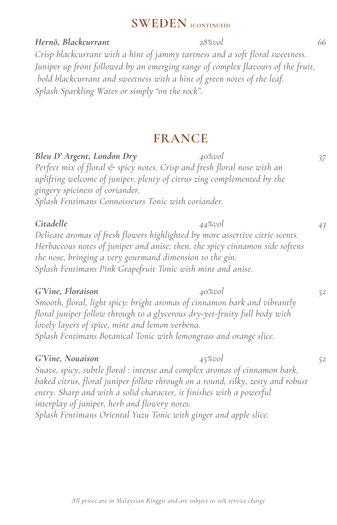# **SWEDEN (CONTINUED)**

*Hernö, Blackcurrant 28%vol 66 Crisp blackcurrant with a hint of jammy tartness and a soft floral sweetness. Juniper up front followed by an emerging range of complex flavours of the fruit, bold blackcurrant and sweetness with a hint of green notes of the leaf. Splash Sparkling Water or simply "on the rock".*

# **FRANCE**

| Bleu D' Argent, London Dry                                                                                                                              | 40%vol     | 37 |
|---------------------------------------------------------------------------------------------------------------------------------------------------------|------------|----|
| Perfect mix of floral & spicy notes. Crisp and fresh floral nose with an                                                                                |            |    |
| uplifting welcome of juniper, plenty of citrus zing complemented by the                                                                                 |            |    |
| gingery spiciness of coriander.                                                                                                                         |            |    |
| Splash Fentimans Connoisseurs Tonic with coriander.                                                                                                     |            |    |
| Citadelle                                                                                                                                               | 44%vol     | 43 |
| Delicate aromas of fresh flowers highlighted by more assertive citric scents.                                                                           |            |    |
| Herbaceous notes of juniper and anise; then, the spicy cinnamon side softens                                                                            |            |    |
| the nose, bringing a very gourmand dimension to the gin.                                                                                                |            |    |
| Splash Fentimans Pink Grapefruit Tonic with mint and anise.                                                                                             |            |    |
| G'Vine, Floraison                                                                                                                                       | 40%vol     | 52 |
| Smooth, floral, light spicy: bright aromas of cinnamon bark and vibrantly                                                                               |            |    |
| floral juniper follow through to a glycerous dry-yet-fruity full body with                                                                              |            |    |
| lovely layers of spice, mint and lemon verbena.                                                                                                         |            |    |
| Splash Fentimans Botanical Tonic with lemongrass and orange slice.                                                                                      |            |    |
| G'Vine, Nouaison                                                                                                                                        | $45\%$ vol | 52 |
| Suave, spicy, subtle floral : intense and complex aromas of cinnamon bark,                                                                              |            |    |
| baked citrus, floral juniper follow through on a round, silky, zesty and robust<br>entry. Sharp and with a solid character, it finishes with a powerful |            |    |

*interplay of juniper, herb and flowery notes. Splash Fentimans Oriental Yuzu Tonic with ginger and apple slice.*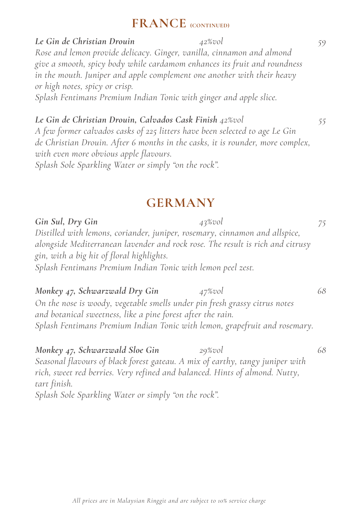## **FRANCE (CONTINUED)**

*Le Gin de Christian Drouin 42%vol 59 Rose and lemon provide delicacy. Ginger, vanilla, cinnamon and almond give a smooth, spicy body while cardamom enhances its fruit and roundness in the mouth. Juniper and apple complement one another with their heavy or high notes, spicy or crisp. Splash Fentimans Premium Indian Tonic with ginger and apple slice.*

*Le Gin de Christian Drouin, Calvados Cask Finish 42%vol 55 A few former calvados casks of 225 litters have been selected to age Le Gin de Christian Drouin. After 6 months in the casks, it is rounder, more complex, with even more obvious apple flavours. Splash Sole Sparkling Water or simply "on the rock".*

# **GERMANY**

*Gin Sul, Dry Gin 43%vol 75 Distilled with lemons, coriander, juniper, rosemary, cinnamon and allspice, alongside Mediterranean lavender and rock rose. The result is rich and citrusy gin, with a big hit of floral highlights. Splash Fentimans Premium Indian Tonic with lemon peel zest.*

*Monkey 47, Schwarzwald Dry Gin 47%vol 68 On the nose is woody, vegetable smells under pin fresh grassy citrus notes and botanical sweetness, like a pine forest after the rain. Splash Fentimans Premium Indian Tonic with lemon, grapefruit and rosemary.*

*Monkey 47, Schwarzwald Sloe Gin 29%vol 68 Seasonal flavours of black forest gateau. A mix of earthy, tangy juniper with rich, sweet red berries. Very refined and balanced. Hints of almond. Nutty, tart finish. Splash Sole Sparkling Water or simply "on the rock".*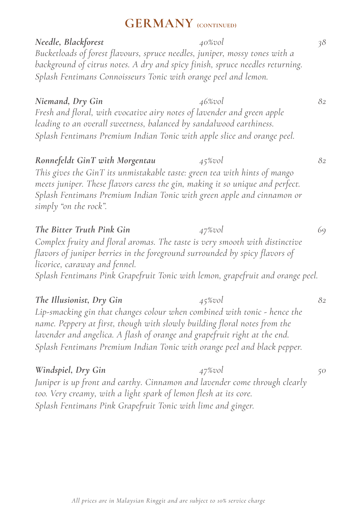# **GERMANY (CONTINUED)**

*Needle, Blackforest 40%vol 38 Bucketloads of forest flavours, spruce needles, juniper, mossy tones with a background of citrus notes. A dry and spicy finish, spruce needles returning. Splash Fentimans Connoisseurs Tonic with orange peel and lemon. Niemand, Dry Gin 46%vol 82 Fresh and floral, with evocative airy notes of lavender and green apple leading to an overall sweetness, balanced by sandalwood earthiness. Splash Fentimans Premium Indian Tonic with apple slice and orange peel. Ronnefeldt GinT with Morgentau 45%vol 82 This gives the GinT its unmistakable taste: green tea with hints of mango meets juniper. These flavors caress the gin, making it so unique and perfect. Splash Fentimans Premium Indian Tonic with green apple and cinnamon or simply "on the rock". The Bitter Truth Pink Gin 47%vol 69 Complex fruity and floral aromas. The taste is very smooth with distinctive flavors of juniper berries in the foreground surrounded by spicy flavors of licorice, caraway and fennel. Splash Fentimans Pink Grapefruit Tonic with lemon, grapefruit and orange peel. The Illusionist, Dry Gin 45%vol 82 Lip-smacking gin that changes colour when combined with tonic - hence the name. Peppery at first, though with slowly building floral notes from the lavender and angelica. A flash of orange and grapefruit right at the end. Splash Fentimans Premium Indian Tonic with orange peel and black pepper. Windspiel, Dry Gin 47%vol 50*

*Juniper is up front and earthy. Cinnamon and lavender come through clearly too. Very creamy, with a light spark of lemon flesh at its core. Splash Fentimans Pink Grapefruit Tonic with lime and ginger.*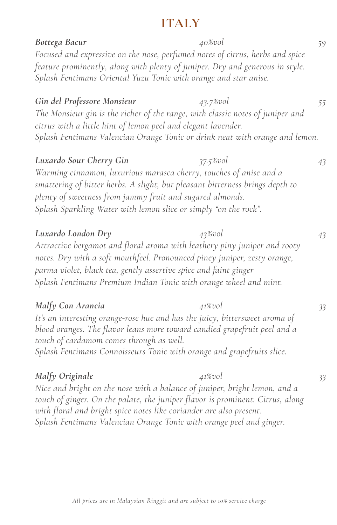# **ITALY**

| Bottega Bacur<br>Focused and expressive on the nose, perfumed notes of citrus, herbs and spice<br>feature prominently, along with plenty of juniper. Dry and generous in style.<br>Splash Fentimans Oriental Yuzu Tonic with orange and star anise.                                                                            | 40%vol      | 59 |
|--------------------------------------------------------------------------------------------------------------------------------------------------------------------------------------------------------------------------------------------------------------------------------------------------------------------------------|-------------|----|
| Gin del Professore Monsieur<br>The Monsieur gin is the richer of the range, with classic notes of juniper and<br>citrus with a little hint of lemon peel and elegant lavender.<br>Splash Fentimans Valencian Orange Tonic or drink neat with orange and lemon.                                                                 | 43.7%vol    | 55 |
| Luxardo Sour Cherry Gin<br>Warming cinnamon, luxurious marasca cherry, touches of anise and a<br>smattering of bitter herbs. A slight, but pleasant bitterness brings depth to<br>plenty of sweetness from jammy fruit and sugared almonds.<br>Splash Sparkling Water with lemon slice or simply "on the rock".                | $37.5\%vol$ | 43 |
| Luxardo London Dry<br>Attractive bergamot and floral aroma with leathery piny juniper and rooty<br>notes. Dry with a soft mouthfeel. Pronounced piney juniper, zesty orange,<br>parma violet, black tea, gently assertive spice and faint ginger<br>Splash Fentimans Premium Indian Tonic with orange wheel and mint.          | 43%vol      | 43 |
| Malfy Con Arancia<br>It's an interesting orange-rose hue and has the juicy, bittersweet aroma of<br>blood oranges. The flavor leans more toward candied grapefruit peel and a<br>touch of cardamom comes through as well.<br>Splash Fentimans Connoisseurs Tonic with orange and grapefruits slice.                            | 41%vol      | 33 |
| Malfy Originale<br>Nice and bright on the nose with a balance of juniper, bright lemon, and a<br>touch of ginger. On the palate, the juniper flavor is prominent. Citrus, along<br>with floral and bright spice notes like coriander are also present.<br>Splash Fentimans Valencian Orange Tonic with orange peel and ginger. | 41%vol      | 33 |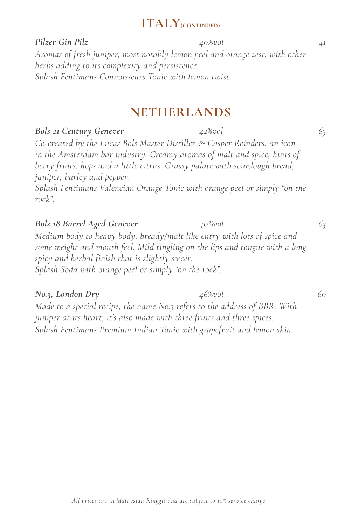# **ITALY(CONTINUED)**

*Pilzer Gin Pilz 40%vol 41 Aromas of fresh juniper, most notably lemon peel and orange zest, with other herbs adding to its complexity and persistence. Splash Fentimans Connoisseurs Tonic with lemon twist.* 

# **NETHERLANDS**

#### *Bols 21 Century Genever 42%vol 63*

*Co-created by the Lucas Bols Master Distiller & Casper Reinders, an icon in the Amsterdam bar industry. Creamy aromas of malt and spice, hints of berry fruits, hops and a little citrus. Grassy palate with sourdough bread, juniper, barley and pepper.*

*Splash Fentimans Valencian Orange Tonic with orange peel or simply "on the rock".*

#### *Bols 18 Barrel Aged Genever 40%vol 63*

*Medium body to heavy body, bready/malt like entry with lots of spice and some weight and mouth feel. Mild tingling on the lips and tongue with a long spicy and herbal finish that is slightly sweet. Splash Soda with orange peel or simply "on the rock".*

#### *No.3, London Dry 46%vol 60*

*Made to a special recipe, the name No.3 refers to the address of BBR. With juniper at its heart, it's also made with three fruits and three spices. Splash Fentimans Premium Indian Tonic with grapefruit and lemon skin.*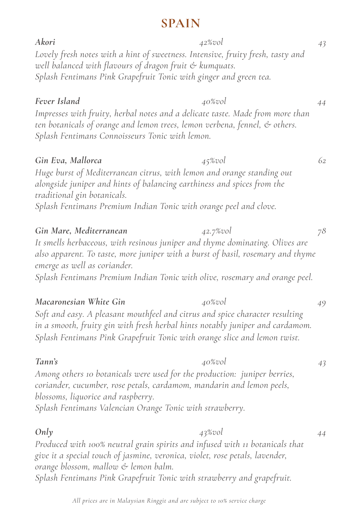### **SPAIN**

*Akori 42%vol 43 Lovely fresh notes with a hint of sweetness. Intensive, fruity fresh, tasty and well balanced with flavours of dragon fruit & kumquats. Splash Fentimans Pink Grapefruit Tonic with ginger and green tea. Fever Island 40%vol 44 Impresses with fruity, herbal notes and a delicate taste. Made from more than ten botanicals of orange and lemon trees, lemon verbena, fennel, & others. Splash Fentimans Connoisseurs Tonic with lemon. Gin Eva, Mallorca 45%vol 62 Huge burst of Mediterranean citrus, with lemon and orange standing out alongside juniper and hints of balancing earthiness and spices from the traditional gin botanicals. Splash Fentimans Premium Indian Tonic with orange peel and clove. Gin Mare, Mediterranean 42.7%vol 78 It smells herbaceous, with resinous juniper and thyme dominating. Olives are also apparent. To taste, more juniper with a burst of basil, rosemary and thyme emerge as well as coriander. Splash Fentimans Premium Indian Tonic with olive, rosemary and orange peel. Macaronesian White Gin 40%vol 49 Soft and easy. A pleasant mouthfeel and citrus and spice character resulting in a smooth, fruity gin with fresh herbal hints notably juniper and cardamom. Splash Fentimans Pink Grapefruit Tonic with orange slice and lemon twist.* **Tann's** 43<sup>2</sup> *Among others 10 botanicals were used for the production: juniper berries, coriander, cucumber, rose petals, cardamom, mandarin and lemon peels, blossoms, liquorice and raspberry. Splash Fentimans Valencian Orange Tonic with strawberry. Only*  $43\% \text{vol}$   $44$ *Produced with 100% neutral grain spirits and infused with 11 botanicals that give it a special touch of jasmine, veronica, violet, rose petals, lavender,*

*orange blossom, mallow & lemon balm. Splash Fentimans Pink Grapefruit Tonic with strawberry and grapefruit.*

| Gin Eva, Mallorca           | $45\%$ vol                                                              |  |
|-----------------------------|-------------------------------------------------------------------------|--|
|                             | Huge burst of Mediterranean citrus, with lemon and orange standing out  |  |
|                             | alongside juniper and hints of balancing earthiness and spices from the |  |
| traditional gin botanicals. |                                                                         |  |
|                             | Splash Fentimans Premium Indian Tonic with orange peel and clove.       |  |
|                             |                                                                         |  |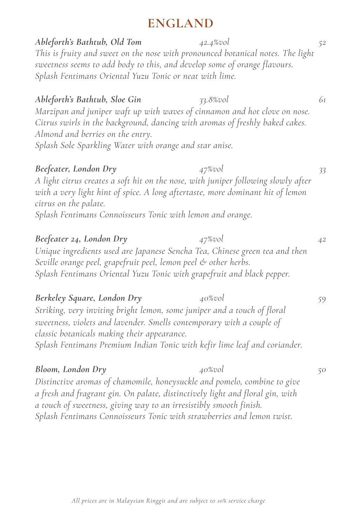# **ENGLAND**

## *Ableforth's Bathtub, Old Tom 42.4%vol 52*

*This is fruity and sweet on the nose with pronounced botanical notes. The light sweetness seems to add body to this, and develop some of orange flavours. Splash Fentimans Oriental Yuzu Tonic or neat with lime.*

#### *Ableforth's Bathtub, Sloe Gin 33.8%vol 61*

*Marzipan and juniper waft up with waves of cinnamon and hot clove on nose. Citrus swirls in the background, dancing with aromas of freshly baked cakes. Almond and berries on the entry.* 

*Splash Sole Sparkling Water with orange and star anise.*

#### *Beefeater, London Dry 47%vol 33*

*A light citrus creates a soft hit on the nose, with juniper following slowly after with a very light hint of spice. A long aftertaste, more dominant hit of lemon citrus on the palate.*

*Splash Fentimans Connoisseurs Tonic with lemon and orange.*

*Beefeater 24, London Dry 47%vol 42 Unique ingredients used are Japanese Sencha Tea, Chinese green tea and then Seville orange peel, grapefruit peel, lemon peel & other herbs. Splash Fentimans Oriental Yuzu Tonic with grapefruit and black pepper.*

#### *Berkeley Square, London Dry 40%vol 59 Striking, very inviting bright lemon, some juniper and a touch of floral sweetness, violets and lavender. Smells contemporary with a couple of classic botanicals making their appearance.*

*Splash Fentimans Premium Indian Tonic with kefir lime leaf and coriander.*

### *Bloom, London Dry 40%vol 50*

*Distinctive aromas of chamomile, honeysuckle and pomelo, combine to give a fresh and fragrant gin. On palate, distinctively light and floral gin, with a touch of sweetness, giving way to an irresistibly smooth finish. Splash Fentimans Connoisseurs Tonic with strawberries and lemon twist.*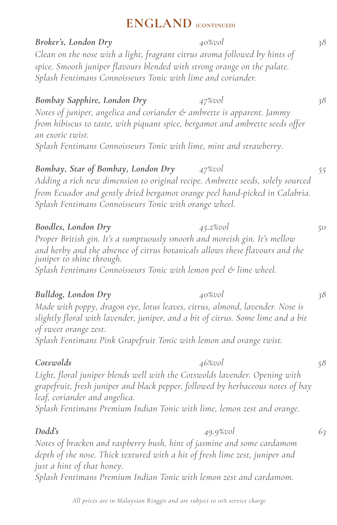*Broker's, London Dry 40%vol 38 Clean on the nose with a light, fragrant citrus aroma followed by hints of spice. Smooth juniper flavours blended with strong orange on the palate. Splash Fentimans Connoisseurs Tonic with lime and coriander. Bombay Sapphire, London Dry 47%vol 38 Notes of juniper, angelica and coriander & ambrette is apparent. Jammy from hibiscus to taste, with piquant spice, bergamot and ambrette seeds offer an exotic twist. Splash Fentimans Connoisseurs Tonic with lime, mint and strawberry. Bombay, Star of Bombay, London Dry 47%vol 55 Adding a rich new dimension to original recipe. Ambrette seeds, solely sourced from Ecuador and gently dried bergamot orange peel hand-picked in Calabria. Splash Fentimans Connoisseurs Tonic with orange wheel. Boodles, London Dry 45.2%vol 50 Proper British gin. It's a sumptuously smooth and moreish gin. It's mellow and herby and the absence of citrus botanicals allows these flavours and the juniper to shine through. Splash Fentimans Connoisseurs Tonic with lemon peel & lime wheel. Bulldog, London Dry 40%vol 38 Made with poppy, dragon eye, lotus leaves, citrus, almond, lavender. Nose is slightly floral with lavender, juniper, and a bit of citrus. Some lime and a bit of sweet orange zest. Splash Fentimans Pink Grapefruit Tonic with lemon and orange twist. Cotswolds 46%vol 58 Light, floral juniper blends well with the Cotswolds lavender. Opening with grapefruit, fresh juniper and black pepper, followed by herbaceous notes of bay leaf, coriander and angelica. Splash Fentimans Premium Indian Tonic with lime, lemon zest and orange. Dodd's 49.9%vol 63*

*Notes of bracken and raspberry bush, hint of jasmine and some cardamom depth of the nose. Thick textured with a hit of fresh lime zest, juniper and just a hint of that honey.* 

*Splash Fentimans Premium Indian Tonic with lemon zest and cardamom.*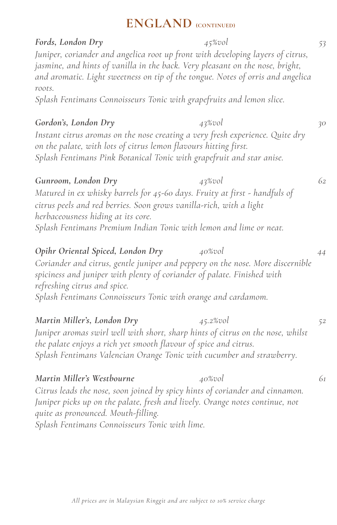*Fords, London Dry 45%vol 53 Juniper, coriander and angelica root up front with developing layers of citrus, jasmine, and hints of vanilla in the back. Very pleasant on the nose, bright, and aromatic. Light sweetness on tip of the tongue. Notes of orris and angelica roots.*

*Splash Fentimans Connoisseurs Tonic with grapefruits and lemon slice.*

#### *Gordon's, London Dry 43%vol 30*

*Instant citrus aromas on the nose creating a very fresh experience. Quite dry on the palate, with lots of citrus lemon flavours hitting first. Splash Fentimans Pink Botanical Tonic with grapefruit and star anise.*

#### *Gunroom, London Dry 43%vol 62*

*Matured in ex whisky barrels for 45-60 days. Fruity at first - handfuls of citrus peels and red berries. Soon grows vanilla-rich, with a light herbaceousness hiding at its core. Splash Fentimans Premium Indian Tonic with lemon and lime or neat.*

*Opihr Oriental Spiced, London Dry 40%vol 44 Coriander and citrus, gentle juniper and peppery on the nose. More discernible spiciness and juniper with plenty of coriander of palate. Finished with refreshing citrus and spice. Splash Fentimans Connoisseurs Tonic with orange and cardamom.* 

*Martin Miller's, London Dry 45.2%vol 52 Juniper aromas swirl well with short, sharp hints of citrus on the nose, whilst the palate enjoys a rich yet smooth flavour of spice and citrus. Splash Fentimans Valencian Orange Tonic with cucumber and strawberry.* 

### *Martin Miller's Westbourne 40%vol 61 Citrus leads the nose, soon joined by spicy hints of coriander and cinnamon. Juniper picks up on the palate, fresh and lively. Orange notes continue, not quite as pronounced. Mouth-filling. Splash Fentimans Connoisseurs Tonic with lime.*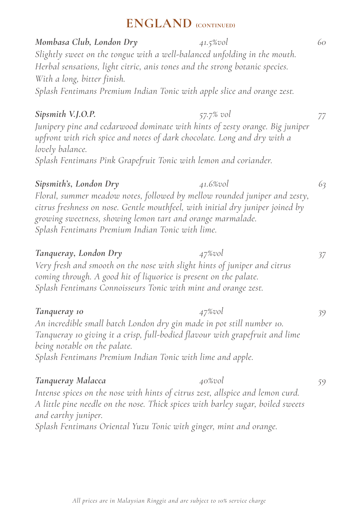*Mombasa Club, London Dry 41.5%vol 60 Slightly sweet on the tongue with a well-balanced unfolding in the mouth. Herbal sensations, light citric, anis tones and the strong botanic species. With a long, bitter finish. Splash Fentimans Premium Indian Tonic with apple slice and orange zest. Sipsmith V.J.O.P. 57.7% vol 77 Junipery pine and cedarwood dominate with hints of zesty orange. Big juniper upfront with rich spice and notes of dark chocolate. Long and dry with a lovely balance. Splash Fentimans Pink Grapefruit Tonic with lemon and coriander. Sipsmith's, London Dry 41.6%vol 63 Floral, summer meadow notes, followed by mellow rounded juniper and zesty, citrus freshness on nose. Gentle mouthfeel, with initial dry juniper joined by growing sweetness, showing lemon tart and orange marmalade. Splash Fentimans Premium Indian Tonic with lime. Tanqueray, London Dry 47%vol 37 Very fresh and smooth on the nose with slight hints of juniper and citrus coming through. A good hit of liquorice is present on the palate. Splash Fentimans Connoisseurs Tonic with mint and orange zest. Tanqueray 10 47%vol 39 An incredible small batch London dry gin made in pot still number 10. Tanqueray 10 giving it a crisp, full-bodied flavour with grapefruit and lime being notable on the palate. Splash Fentimans Premium Indian Tonic with lime and apple. Tanqueray Malacca 40%vol 59* Intense spices on the nose with hints of citrus zest, allspice and lemon curd. *A little pine needle on the nose. Thick spices with barley sugar, boiled sweets and earthy juniper. Splash Fentimans Oriental Yuzu Tonic with ginger, mint and orange.*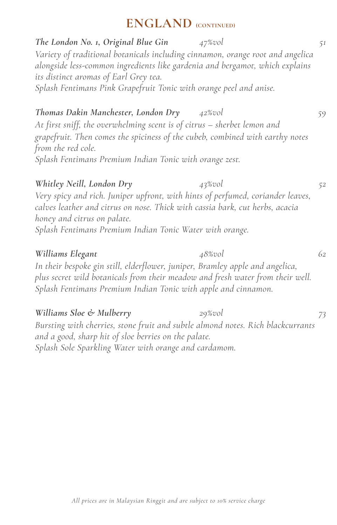*The London No. 1, Original Blue Gin 47%vol 51 Variety of traditional botanicals including cinnamon, orange root and angelica alongside less-common ingredients like gardenia and bergamot, which explains its distinct aromas of Earl Grey tea. Splash Fentimans Pink Grapefruit Tonic with orange peel and anise. Thomas Dakin Manchester, London Dry 42%vol 59 At first sniff, the overwhelming scent is of citrus – sherbet lemon and grapefruit. Then comes the spiciness of the cubeb, combined with earthy notes from the red cole. Splash Fentimans Premium Indian Tonic with orange zest. Whitley Neill, London Dry 43%vol 52 Very spicy and rich. Juniper upfront, with hints of perfumed, coriander leaves, calves leather and citrus on nose. Thick with cassia bark, cut herbs, acacia honey and citrus on palate. Splash Fentimans Premium Indian Tonic Water with orange. Williams Elegant 48%vol 62 In their bespoke gin still, elderflower, juniper, Bramley apple and angelica, plus secret wild botanicals from their meadow and fresh water from their well. Splash Fentimans Premium Indian Tonic with apple and cinnamon.*

*Williams Sloe & Mulberry 29%vol 73 Bursting with cherries, stone fruit and subtle almond notes. Rich blackcurrants and a good, sharp hit of sloe berries on the palate. Splash Sole Sparkling Water with orange and cardamom.*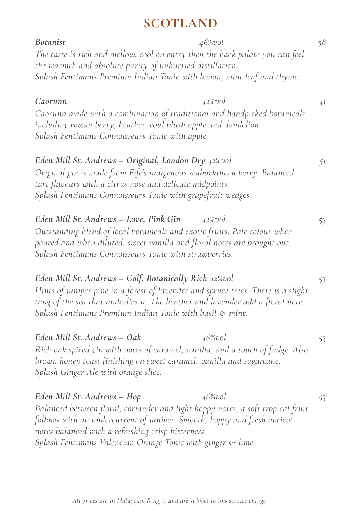# **SCOTLAND**

| <b>Botanist</b><br>The taste is rich and mellow; cool on entry then the back palate you can feel<br>the warmth and absolute purity of unhurried distillation.<br>Splash Fentimans Premium Indian Tonic with lemon, mint leaf and thyme.                                                                         | 46%vol | 58 |
|-----------------------------------------------------------------------------------------------------------------------------------------------------------------------------------------------------------------------------------------------------------------------------------------------------------------|--------|----|
| Caorunn<br>Caorunn made with a combination of traditional and handpicked botanicals<br>including rowan berry, heather, coul blush apple and dandelion.<br>Splash Fentimans Connoisseurs Tonic with apple.                                                                                                       | 42%vol | 41 |
| Eden Mill St. Andrews - Original, London Dry 42%vol<br>Original gin is made from Fife's indigenous seabuckthorn berry. Balanced<br>tart flavours with a citrus nose and delicate midpoints.<br>Splash Fentimans Connoisseurs Tonic with grapefruit wedges.                                                      |        | 51 |
| Eden Mill St. Andrews - Love, Pink Gin<br>Outstanding blend of local botanicals and exotic fruits. Pale colour when<br>poured and when diluted, sweet vanilla and floral notes are brought out.<br>Splash Fentimans Connoisseurs Tonic with strawberries.                                                       | 42%vol | 53 |
| Eden Mill St. Andrews - Golf, Botanically Rich 42%vol<br>Hints of juniper pine in a forest of lavender and spruce trees. There is a slight<br>tang of the sea that underlies it. The heather and lavender add a floral note.<br>Splash Fentimans Premium Indian Tonic with basil & mint.                        |        | 53 |
| Eden Mill St. Andrews - Oak<br>Rich oak spiced gin with notes of caramel, vanilla, and a touch of fudge. Also<br>brown honey toast finishing on sweet caramel, vanilla and sugarcane.<br>Splash Ginger Ale with orange slice.                                                                                   | 46%vol | 53 |
| Eden Mill St. Andrews - Hop<br>Balanced between floral, coriander and light hoppy notes, a soft tropical fruit<br>follows with an undercurrent of juniper. Smooth, hoppy and fresh apricot<br>notes balanced with a refreshing crisp bitterness.<br>Splash Fentimans Valencian Orange Tonic with ginger & lime. | 46%vol | 53 |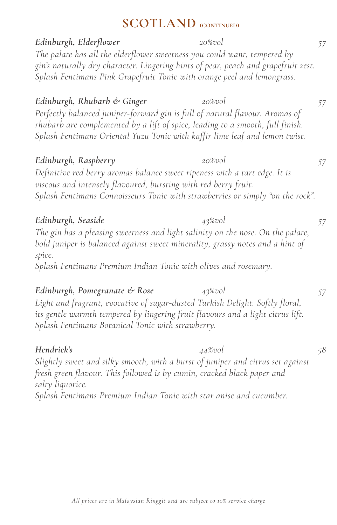# **SCOTLAND** (CONTINUED)

| Edinburgh, Elderflower                                                                                                                                                                                                                        | $20\%$ vol | 57 |
|-----------------------------------------------------------------------------------------------------------------------------------------------------------------------------------------------------------------------------------------------|------------|----|
| The palate has all the elderflower sweetness you could want, tempered by<br>gin's naturally dry character. Lingering hints of pear, peach and grapefruit zest.                                                                                |            |    |
| Splash Fentimans Pink Grapefruit Tonic with orange peel and lemongrass.                                                                                                                                                                       |            |    |
| Edinburgh, Rhubarb & Ginger                                                                                                                                                                                                                   | $20\%$ vol | 57 |
| Perfectly balanced juniper-forward gin is full of natural flavour. Aromas of<br>rhubarb are complemented by a lift of spice, leading to a smooth, full finish.<br>Splash Fentimans Oriental Yuzu Tonic with kaffir lime leaf and lemon twist. |            |    |
| Edinburgh, Raspberry                                                                                                                                                                                                                          | $20\%$ vol | 57 |
| Definitive red berry aromas balance sweet ripeness with a tart edge. It is<br>viscous and intensely flavoured, bursting with red berry fruit.<br>Splash Fentimans Connoisseurs Tonic with strawberries or simply "on the rock".               |            |    |
| Edinburgh, Seaside                                                                                                                                                                                                                            | 43%vol     | 57 |
| The gin has a pleasing sweetness and light salinity on the nose. On the palate,<br>bold juniper is balanced against sweet minerality, grassy notes and a hint of<br>spice.                                                                    |            |    |
| Splash Fentimans Premium Indian Tonic with olives and rosemary.                                                                                                                                                                               |            |    |
| Edinburgh, Pomegranate & Rose                                                                                                                                                                                                                 | 43%vol     | 57 |
| Light and fragrant, evocative of sugar-dusted Turkish Delight. Softly floral,<br>its gentle warmth tempered by lingering fruit flavours and a light citrus lift.<br>Splash Fentimans Botanical Tonic with strawberry.                         |            |    |
| Hendrick's                                                                                                                                                                                                                                    | 44%vol     | 58 |
| Slightly sweet and silky smooth, with a burst of juniper and citrus set against<br>fresh green flavour. This followed is by cumin, cracked black paper and                                                                                    |            |    |
| salty liquorice.<br>Splash Fentimans Premium Indian Tonic with star anise and cucumber.                                                                                                                                                       |            |    |